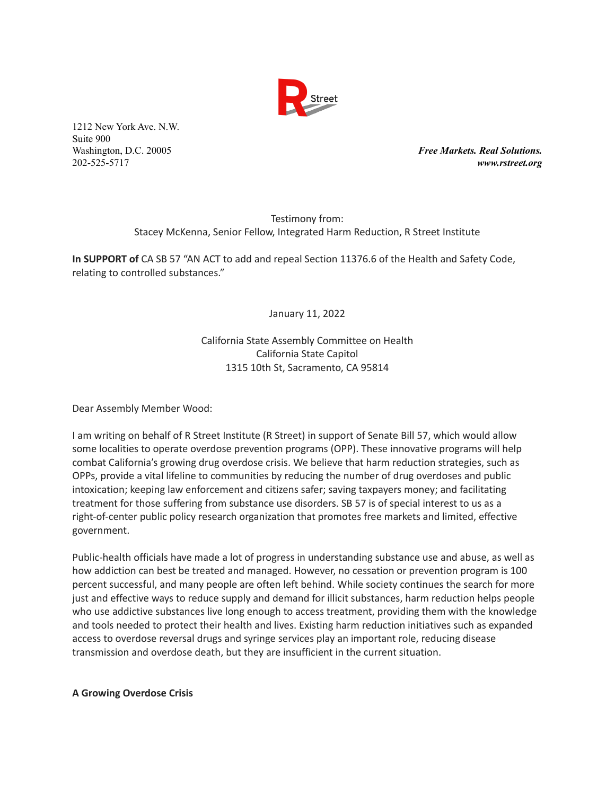

Washington, D.C. 20005 *Free Markets. Real Solutions.* 202-525-5717 *www.rstreet.org*

> Testimony from: Stacey McKenna, Senior Fellow, Integrated Harm Reduction, R Street Institute

**In SUPPORT of** CA SB 57 "AN ACT to add and repeal Section 11376.6 of the Health and Safety Code, relating to controlled substances."

January 11, 2022

# California State Assembly Committee on Health California State Capitol 1315 10th St, Sacramento, CA 95814

Dear Assembly Member Wood:

I am writing on behalf of R Street Institute (R Street) in support of Senate Bill 57, which would allow some localities to operate overdose prevention programs (OPP). These innovative programs will help combat California's growing drug overdose crisis. We believe that harm reduction strategies, such as OPPs, provide a vital lifeline to communities by reducing the number of drug overdoses and public intoxication; keeping law enforcement and citizens safer; saving taxpayers money; and facilitating treatment for those suffering from substance use disorders. SB 57 is of special interest to us as a right-of-center public policy research organization that promotes free markets and limited, effective government.

Public-health officials have made a lot of progress in understanding substance use and abuse, as well as how addiction can best be treated and managed. However, no cessation or prevention program is 100 percent successful, and many people are often left behind. While society continues the search for more just and effective ways to reduce supply and demand for illicit substances, harm reduction helps people who use addictive substances live long enough to access treatment, providing them with the knowledge and tools needed to protect their health and lives. Existing harm reduction initiatives such as expanded access to overdose reversal drugs and syringe services play an important role, reducing disease transmission and overdose death, but they are insufficient in the current situation.

### **A Growing Overdose Crisis**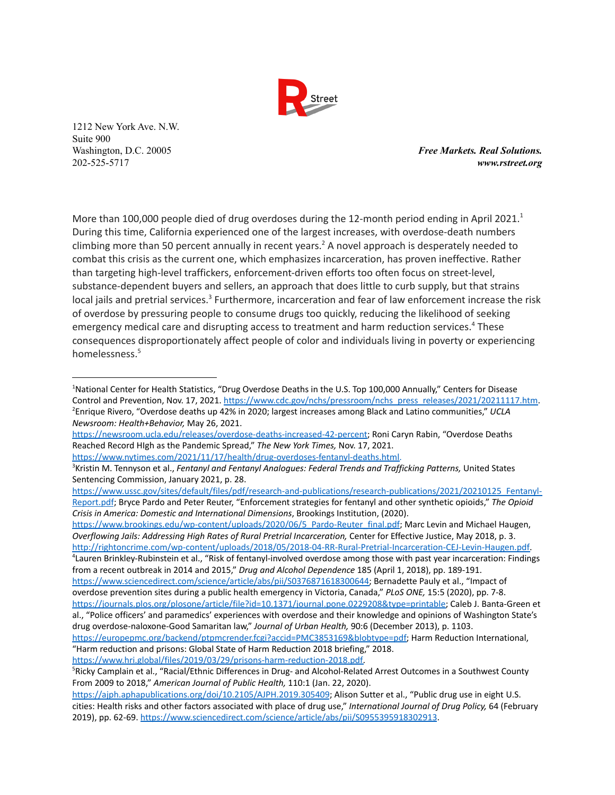

Washington, D.C. 20005 *Free Markets. Real Solutions.* 202-525-5717 *www.rstreet.org*

More than 100,000 people died of drug overdoses during the 12-month period ending in April 2021.<sup>1</sup> During this time, California experienced one of the largest increases, with overdose-death numbers climbing more than 50 percent annually in recent years.<sup>2</sup> A novel approach is desperately needed to combat this crisis as the current one, which emphasizes incarceration, has proven ineffective. Rather than targeting high-level traffickers, enforcement-driven efforts too often focus on street-level, substance-dependent buyers and sellers, an approach that does little to curb supply, but that strains local jails and pretrial services.<sup>3</sup> Furthermore, incarceration and fear of law enforcement increase the risk of overdose by pressuring people to consume drugs too quickly, reducing the likelihood of seeking emergency medical care and disrupting access to treatment and harm reduction services.<sup>4</sup> These consequences disproportionately affect people of color and individuals living in poverty or experiencing homelessness. 5

[https://www.brookings.edu/wp-content/uploads/2020/06/5\\_Pardo-Reuter\\_final.pdf](https://www.brookings.edu/wp-content/uploads/2020/06/5_Pardo-Reuter_final.pdf); Marc Levin and Michael Haugen, *Overflowing Jails: Addressing High Rates of Rural Pretrial Incarceration,* Center for Effective Justice, May 2018, p. 3. [http://rightoncrime.com/wp-content/uploads/2018/05/2018-04-RR-Rural-Pretrial-Incarceration-CEJ-Levin-Haugen.pdf.](http://rightoncrime.com/wp-content/uploads/2018/05/2018-04-RR-Rural-Pretrial-Incarceration-CEJ-Levin-Haugen.pdf)

<sup>4</sup>Lauren Brinkley-Rubinstein et al., "Risk of fentanyl-involved overdose among those with past year incarceration: Findings from a recent outbreak in 2014 and 2015," *Drug and Alcohol Dependence* 185 (April 1, 2018), pp. 189-191. [https://www.sciencedirect.com/science/article/abs/pii/S0376871618300644;](https://www.sciencedirect.com/science/article/abs/pii/S0376871618300644) Bernadette Pauly et al., "Impact of

<sup>2</sup>Enrique Rivero, "Overdose deaths up 42% in 2020; largest increases among Black and Latino communities," *UCLA Newsroom: Health+Behavior,* May 26, 2021. <sup>1</sup>National Center for Health Statistics, "Drug Overdose Deaths in the U.S. Top 100,000 Annually," Centers for Disease Control and Prevention, Nov. 17, 2021. [https://www.cdc.gov/nchs/pressroom/nchs\\_press\\_releases/2021/20211117.htm.](https://www.cdc.gov/nchs/pressroom/nchs_press_releases/2021/20211117.htm)

[https://newsroom.ucla.edu/releases/overdose-deaths-increased-42-percent;](https://newsroom.ucla.edu/releases/overdose-deaths-increased-42-percent) Roni Caryn Rabin, "Overdose Deaths Reached Record HIgh as the Pandemic Spread," *The New York Times,* Nov. 17, 2021.

[https://www.nytimes.com/2021/11/17/health/drug-overdoses-fentanyl-deaths.html.](https://www.nytimes.com/2021/11/17/health/drug-overdoses-fentanyl-deaths.html)

<sup>3</sup>Kristin M. Tennyson et al., *Fentanyl and Fentanyl Analogues: Federal Trends and Trafficking Patterns,* United States Sentencing Commission, January 2021, p. 28.

[https://www.ussc.gov/sites/default/files/pdf/research-and-publications/research-publications/2021/20210125\\_Fentanyl-](https://www.ussc.gov/sites/default/files/pdf/research-and-publications/research-publications/2021/20210125_Fentanyl-Report.pdf)[Report.pdf](https://www.ussc.gov/sites/default/files/pdf/research-and-publications/research-publications/2021/20210125_Fentanyl-Report.pdf); Bryce Pardo and Peter Reuter, "Enforcement strategies for fentanyl and other synthetic opioids," *The Opioid Crisis in America: Domestic and International Dimensions*, Brookings Institution, (2020).

overdose prevention sites during a public health emergency in Victoria, Canada," *PLoS ONE,* 15:5 (2020), pp. 7-8. [https://journals.plos.org/plosone/article/file?id=10.1371/journal.pone.0229208&type=printable;](https://journals.plos.org/plosone/article/file?id=10.1371/journal.pone.0229208&type=printable) Caleb J. Banta-Green et al., "Police officers' and paramedics' experiences with overdose and their knowledge and opinions of Washington State's

drug overdose-naloxone-Good Samaritan law," *Journal of Urban Health,* 90:6 (December 2013), p. 1103. [https://europepmc.org/backend/ptpmcrender.fcgi?accid=PMC3853169&blobtype=pdf;](https://europepmc.org/backend/ptpmcrender.fcgi?accid=PMC3853169&blobtype=pdf) Harm Reduction International, "Harm reduction and prisons: Global State of Harm Reduction 2018 briefing," 2018.

[https://www.hri.global/files/2019/03/29/prisons-harm-reduction-2018.pdf.](https://www.hri.global/files/2019/03/29/prisons-harm-reduction-2018.pdf)

<sup>&</sup>lt;sup>5</sup>Ricky Camplain et al., "Racial/Ethnic Differences in Drug- and Alcohol-Related Arrest Outcomes in a Southwest County From 2009 to 2018," *American Journal of Public Health,* 110:1 (Jan. 22, 2020).

<https://ajph.aphapublications.org/doi/10.2105/AJPH.2019.305409>; Alison Sutter et al., "Public drug use in eight U.S. cities: Health risks and other factors associated with place of drug use," *International Journal of Drug Policy,* 64 (February 2019), pp. 62-69. <https://www.sciencedirect.com/science/article/abs/pii/S0955395918302913>.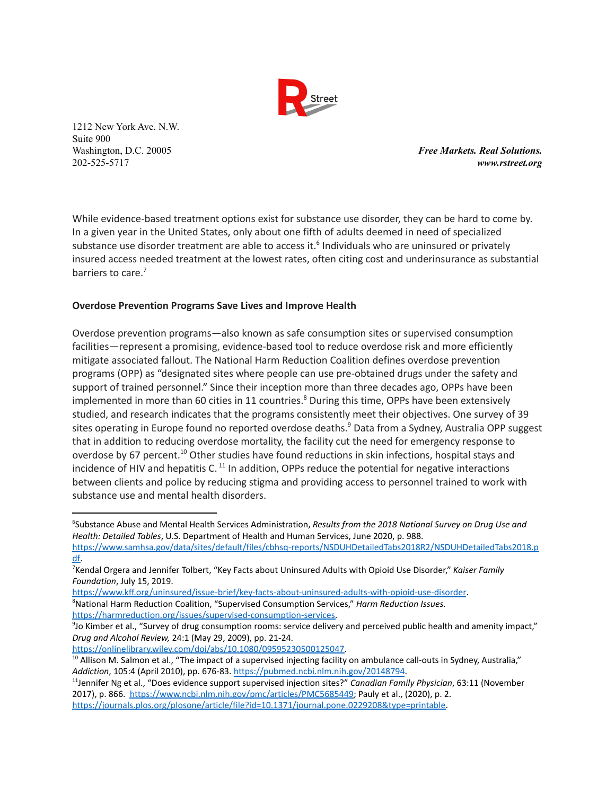

Washington, D.C. 20005 *Free Markets. Real Solutions.* 202-525-5717 *www.rstreet.org*

While evidence-based treatment options exist for substance use disorder, they can be hard to come by. In a given year in the United States, only about one fifth of adults deemed in need of specialized substance use disorder treatment are able to access it.<sup>6</sup> Individuals who are uninsured or privately insured access needed treatment at the lowest rates, often citing cost and underinsurance as substantial barriers to care.<sup>7</sup>

# **Overdose Prevention Programs Save Lives and Improve Health**

Overdose prevention programs—also known as safe consumption sites or supervised consumption facilities—represent a promising, evidence-based tool to reduce overdose risk and more efficiently mitigate associated fallout. The National Harm Reduction Coalition defines overdose prevention programs (OPP) as "designated sites where people can use pre-obtained drugs under the safety and support of trained personnel." Since their inception more than three decades ago, OPPs have been implemented in more than 60 cities in 11 countries.<sup>8</sup> During this time, OPPs have been extensively studied, and research indicates that the programs consistently meet their objectives. One survey of 39 sites operating in Europe found no reported overdose deaths.<sup>9</sup> Data from a Sydney, Australia OPP suggest that in addition to reducing overdose mortality, the facility cut the need for emergency response to overdose by 67 percent.<sup>10</sup> Other studies have found reductions in skin infections, hospital stays and incidence of HIV and hepatitis C.  $^{11}$  In addition, OPPs reduce the potential for negative interactions between clients and police by reducing stigma and providing access to personnel trained to work with substance use and mental health disorders.

[https://onlinelibrary.wiley.com/doi/abs/10.1080/09595230500125047.](https://onlinelibrary.wiley.com/doi/abs/10.1080/09595230500125047)

<sup>6</sup>Substance Abuse and Mental Health Services Administration, *Results from the 2018 National Survey on Drug Use and Health: Detailed Tables*, U.S. Department of Health and Human Services, June 2020, p. 988.

[https://www.samhsa.gov/data/sites/default/files/cbhsq-reports/NSDUHDetailedTabs2018R2/NSDUHDetailedTabs2018.p](https://www.samhsa.gov/data/sites/default/files/cbhsq-reports/NSDUHDetailedTabs2018R2/NSDUHDetailedTabs2018.pdf) [df.](https://www.samhsa.gov/data/sites/default/files/cbhsq-reports/NSDUHDetailedTabs2018R2/NSDUHDetailedTabs2018.pdf)

<sup>7</sup>Kendal Orgera and Jennifer Tolbert, "Key Facts about Uninsured Adults with Opioid Use Disorder," *Kaiser Family Foundation*, July 15, 2019.

<https://www.kff.org/uninsured/issue-brief/key-facts-about-uninsured-adults-with-opioid-use-disorder>.

<sup>8</sup>National Harm Reduction Coalition, "Supervised Consumption Services," *Harm Reduction Issues.* [https://harmreduction.org/issues/supervised-consumption-services.](https://harmreduction.org/issues/supervised-consumption-services)

 $9$ Jo Kimber et al., "Survey of drug consumption rooms: service delivery and perceived public health and amenity impact," *Drug and Alcohol Review,* 24:1 (May 29, 2009), pp. 21-24.

 $10$  Allison M. Salmon et al., "The impact of a supervised injecting facility on ambulance call-outs in Sydney, Australia," *Addiction*, 105:4 (April 2010), pp. 676-83. <https://pubmed.ncbi.nlm.nih.gov/20148794>.

<sup>11</sup> Jennifer Ng et al., "Does evidence support supervised injection sites?" *Canadian Family Physician*, 63:11 (November 2017), p. 866. <https://www.ncbi.nlm.nih.gov/pmc/articles/PMC5685449>; Pauly et al., (2020), p. 2. [https://journals.plos.org/plosone/article/file?id=10.1371/journal.pone.0229208&type=printable.](https://journals.plos.org/plosone/article/file?id=10.1371/journal.pone.0229208&type=printable)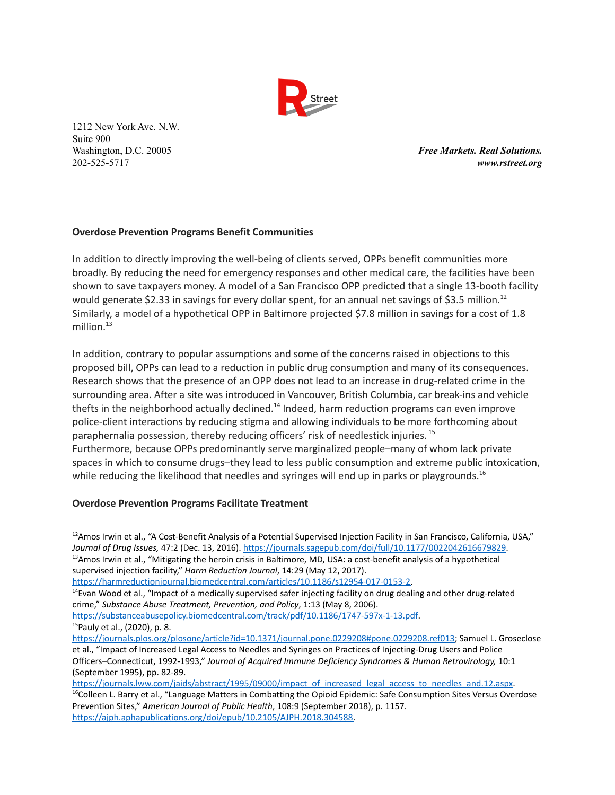

Washington, D.C. 20005 *Free Markets. Real Solutions.* 202-525-5717 *www.rstreet.org*

# **Overdose Prevention Programs Benefit Communities**

In addition to directly improving the well-being of clients served, OPPs benefit communities more broadly. By reducing the need for emergency responses and other medical care, the facilities have been shown to save taxpayers money. A model of a San Francisco OPP predicted that a single 13-booth facility would generate \$2.33 in savings for every dollar spent, for an annual net savings of \$3.5 million.<sup>12</sup> Similarly, a model of a hypothetical OPP in Baltimore projected \$7.8 million in savings for a cost of 1.8 million. 13

In addition, contrary to popular assumptions and some of the concerns raised in objections to this proposed bill, OPPs can lead to a reduction in public drug consumption and many of its consequences. Research shows that the presence of an OPP does not lead to an increase in drug-related crime in the surrounding area. After a site was introduced in Vancouver, British Columbia, car break-ins and vehicle thefts in the neighborhood actually declined.<sup>14</sup> Indeed, harm reduction programs can even improve police-client interactions by reducing stigma and allowing individuals to be more forthcoming about paraphernalia possession, thereby reducing officers' risk of needlestick injuries. 15 Furthermore, because OPPs predominantly serve marginalized people–many of whom lack private spaces in which to consume drugs–they lead to less public consumption and extreme public intoxication, while reducing the likelihood that needles and syringes will end up in parks or playgrounds.<sup>16</sup>

### **Overdose Prevention Programs Facilitate Treatment**

<sup>15</sup>Pauly et al., (2020), p. 8. <https://substanceabusepolicy.biomedcentral.com/track/pdf/10.1186/1747-597x-1-13.pdf>.

[https://journals.lww.com/jaids/abstract/1995/09000/impact\\_of\\_increased\\_legal\\_access\\_to\\_needles\\_and.12.aspx.](https://journals.lww.com/jaids/abstract/1995/09000/impact_of_increased_legal_access_to_needles_and.12.aspx)

 $13A$ mos Irwin et al., "Mitigating the heroin crisis in Baltimore, MD, USA: a cost-benefit analysis of a hypothetical supervised injection facility," *Harm Reduction Journal*, 14:29 (May 12, 2017).  $12A$ mos Irwin et al., "A Cost-Benefit Analysis of a Potential Supervised Injection Facility in San Francisco, California, USA," *Journal of Drug Issues,* 47:2 (Dec. 13, 2016). [https://journals.sagepub.com/doi/full/10.1177/0022042616679829.](https://journals.sagepub.com/doi/full/10.1177/0022042616679829)

[https://harmreductionjournal.biomedcentral.com/articles/10.1186/s12954-017-0153-2.](https://harmreductionjournal.biomedcentral.com/articles/10.1186/s12954-017-0153-2)

<sup>&</sup>lt;sup>14</sup>Evan Wood et al., "Impact of a medically supervised safer injecting facility on drug dealing and other drug-related crime," *Substance Abuse Treatment, Prevention, and Policy*, 1:13 (May 8, 2006).

[https://journals.plos.org/plosone/article?id=10.1371/journal.pone.0229208#pone.0229208.ref013;](https://journals.plos.org/plosone/article?id=10.1371/journal.pone.0229208#pone.0229208.ref013) Samuel L. Groseclose et al., "Impact of Increased Legal Access to Needles and Syringes on Practices of Injecting-Drug Users and Police Officers–Connecticut, 1992-1993," *Journal of Acquired Immune Deficiency Syndromes & Human Retrovirology,* 10:1 (September 1995), pp. 82-89.

<sup>&</sup>lt;sup>16</sup>Colleen L. Barry et al., "Language Matters in Combatting the Opioid Epidemic: Safe Consumption Sites Versus Overdose Prevention Sites," *American Journal of Public Health*, 108:9 (September 2018), p. 1157. [https://ajph.aphapublications.org/doi/epub/10.2105/AJPH.2018.304588.](https://ajph.aphapublications.org/doi/epub/10.2105/AJPH.2018.304588)